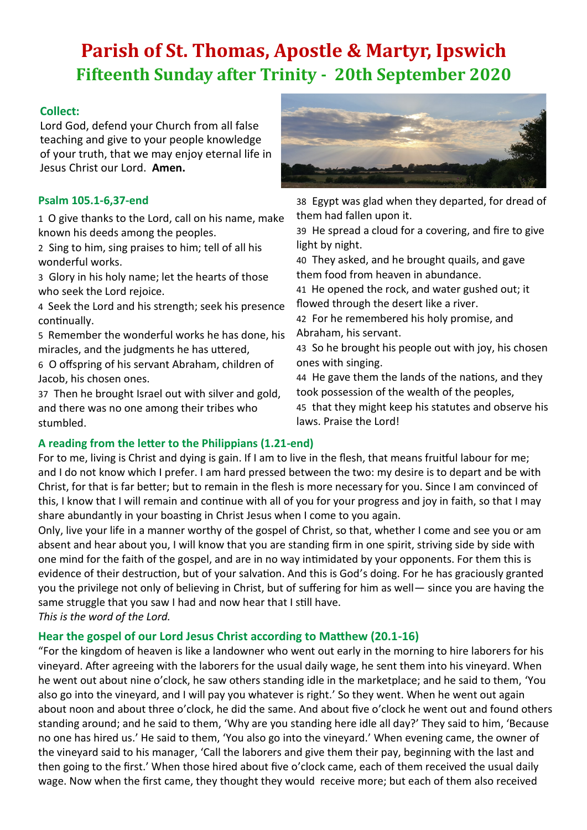# **Parish of St. Thomas, Apostle & Martyr, Ipswich Fifteenth Sunday after Trinity - 20th September 2020**

# **Collect:**

Lord God, defend your Church from all false teaching and give to your people knowledge of your truth, that we may enjoy eternal life in Jesus Christ our Lord. **Amen.**

#### **Psalm 105.1-6,37-end**

1 O give thanks to the Lord, call on his name, make known his deeds among the peoples.

2 Sing to him, sing praises to him; tell of all his wonderful works.

3 Glory in his holy name; let the hearts of those who seek the Lord rejoice.

4 Seek the Lord and his strength; seek his presence continually.

5 Remember the wonderful works he has done, his miracles, and the judgments he has uttered,

6 O offspring of his servant Abraham, children of Jacob, his chosen ones.

37 Then he brought Israel out with silver and gold, and there was no one among their tribes who stumbled.



38 Egypt was glad when they departed, for dread of them had fallen upon it.

39 He spread a cloud for a covering, and fire to give light by night.

40 They asked, and he brought quails, and gave them food from heaven in abundance.

41 He opened the rock, and water gushed out; it flowed through the desert like a river.

42 For he remembered his holy promise, and Abraham, his servant.

43 So he brought his people out with joy, his chosen ones with singing.

44 He gave them the lands of the nations, and they took possession of the wealth of the peoples,

45 that they might keep his statutes and observe his laws. Praise the Lord!

# **A reading from the letter to the Philippians (1.21-end)**

For to me, living is Christ and dying is gain. If I am to live in the flesh, that means fruitful labour for me; and I do not know which I prefer. I am hard pressed between the two: my desire is to depart and be with Christ, for that is far better; but to remain in the flesh is more necessary for you. Since I am convinced of this, I know that I will remain and continue with all of you for your progress and joy in faith, so that I may share abundantly in your boasting in Christ Jesus when I come to you again.

Only, live your life in a manner worthy of the gospel of Christ, so that, whether I come and see you or am absent and hear about you, I will know that you are standing firm in one spirit, striving side by side with one mind for the faith of the gospel, and are in no way intimidated by your opponents. For them this is evidence of their destruction, but of your salvation. And this is God's doing. For he has graciously granted you the privilege not only of believing in Christ, but of suffering for him as well— since you are having the same struggle that you saw I had and now hear that I still have.

*This is the word of the Lord.*

# **Hear the gospel of our Lord Jesus Christ according to Matthew (20.1-16)**

"For the kingdom of heaven is like a landowner who went out early in the morning to hire laborers for his vineyard. After agreeing with the laborers for the usual daily wage, he sent them into his vineyard. When he went out about nine o'clock, he saw others standing idle in the marketplace; and he said to them, 'You also go into the vineyard, and I will pay you whatever is right.' So they went. When he went out again about noon and about three o'clock, he did the same. And about five o'clock he went out and found others standing around; and he said to them, 'Why are you standing here idle all day?' They said to him, 'Because no one has hired us.' He said to them, 'You also go into the vineyard.' When evening came, the owner of the vineyard said to his manager, 'Call the laborers and give them their pay, beginning with the last and then going to the first.' When those hired about five o'clock came, each of them received the usual daily wage. Now when the first came, they thought they would receive more; but each of them also received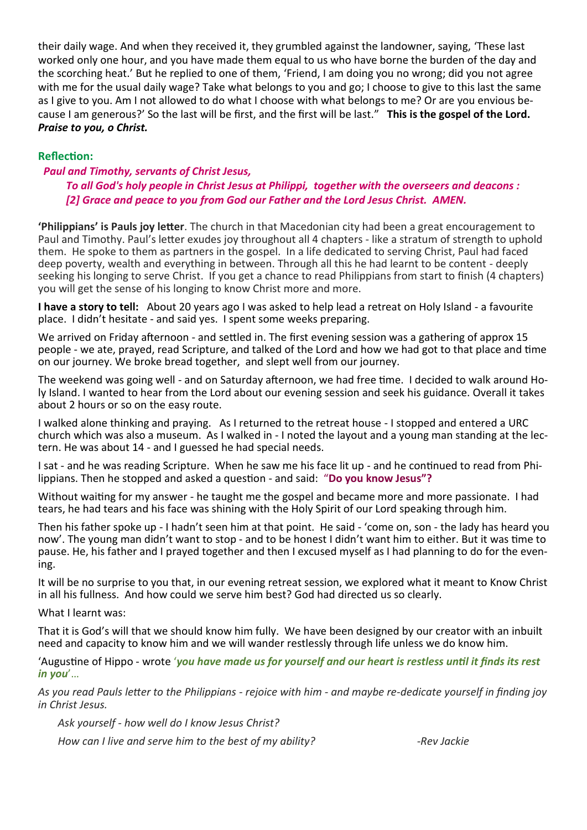their daily wage. And when they received it, they grumbled against the landowner, saying, 'These last worked only one hour, and you have made them equal to us who have borne the burden of the day and the scorching heat.' But he replied to one of them, 'Friend, I am doing you no wrong; did you not agree with me for the usual daily wage? Take what belongs to you and go; I choose to give to this last the same as I give to you. Am I not allowed to do what I choose with what belongs to me? Or are you envious because I am generous?' So the last will be first, and the first will be last." **This is the gospel of the Lord.**  *Praise to you, o Christ.*

#### **Reflection:**

#### *Paul and Timothy, servants of Christ Jesus,*

*To all God's holy people in Christ Jesus at Philippi, together with the overseers and deacons : [2] Grace and peace to you from God our Father and the Lord Jesus Christ. AMEN.*

**'Philippians' is Pauls joy letter**. The church in that Macedonian city had been a great encouragement to Paul and Timothy. Paul's letter exudes joy throughout all 4 chapters - like a stratum of strength to uphold them. He spoke to them as partners in the gospel. In a life dedicated to serving Christ, Paul had faced deep poverty, wealth and everything in between. Through all this he had learnt to be content - deeply seeking his longing to serve Christ. If you get a chance to read Philippians from start to finish (4 chapters) you will get the sense of his longing to know Christ more and more.

**I have a story to tell:** About 20 years ago I was asked to help lead a retreat on Holy Island - a favourite place. I didn't hesitate - and said yes. I spent some weeks preparing.

We arrived on Friday afternoon - and settled in. The first evening session was a gathering of approx 15 people - we ate, prayed, read Scripture, and talked of the Lord and how we had got to that place and time on our journey. We broke bread together, and slept well from our journey.

The weekend was going well - and on Saturday afternoon, we had free time. I decided to walk around Holy Island. I wanted to hear from the Lord about our evening session and seek his guidance. Overall it takes about 2 hours or so on the easy route.

I walked alone thinking and praying. As I returned to the retreat house - I stopped and entered a URC church which was also a museum. As I walked in - I noted the layout and a young man standing at the lectern. He was about 14 - and I guessed he had special needs.

I sat - and he was reading Scripture. When he saw me his face lit up - and he continued to read from Philippians. Then he stopped and asked a question - and said: "**Do you know Jesus"?** 

Without waiting for my answer - he taught me the gospel and became more and more passionate. I had tears, he had tears and his face was shining with the Holy Spirit of our Lord speaking through him.

Then his father spoke up - I hadn't seen him at that point. He said - 'come on, son - the lady has heard you now'. The young man didn't want to stop - and to be honest I didn't want him to either. But it was time to pause. He, his father and I prayed together and then I excused myself as I had planning to do for the evening.

It will be no surprise to you that, in our evening retreat session, we explored what it meant to Know Christ in all his fullness. And how could we serve him best? God had directed us so clearly.

What I learnt was:

That it is God's will that we should know him fully. We have been designed by our creator with an inbuilt need and capacity to know him and we will wander restlessly through life unless we do know him.

'Augustine of Hippo - wrote '*you have made us for yourself and our heart is restless until it finds its rest in you*'…

*As you read Pauls letter to the Philippians - rejoice with him - and maybe re-dedicate yourself in finding joy in Christ Jesus.*

*Ask yourself - how well do I know Jesus Christ?* 

*How can I live and serve him to the best of my ability? -Rev Jackie*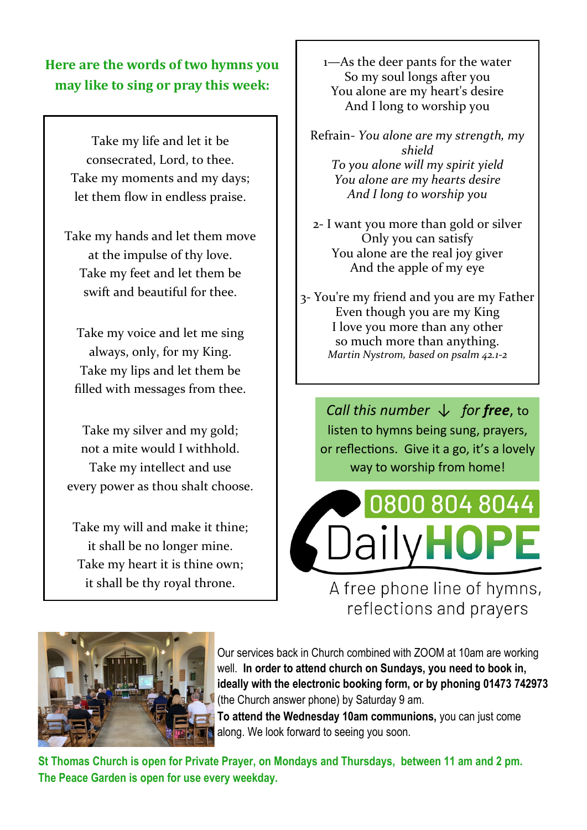# **Here are the words of two hymns you may like to sing or pray this week:**

Take my life and let it be consecrated, Lord, to thee. Take my moments and my days; let them flow in endless praise.

Take my hands and let them move at the impulse of thy love. Take my feet and let them be swift and beautiful for thee.

Take my voice and let me sing always, only, for my King. Take my lips and let them be filled with messages from thee.

Take my silver and my gold; not a mite would I withhold. Take my intellect and use every power as thou shalt choose.

Take my will and make it thine; it shall be no longer mine. Take my heart it is thine own; it shall be thy royal throne.

1—As the deer pants for the water So my soul longs after you You alone are my heart's desire And I long to worship you

Refrain- *You alone are my strength, my shield To you alone will my spirit yield You alone are my hearts desire And I long to worship you*

2- I want you more than gold or silver Only you can satisfy You alone are the real joy giver And the apple of my eye

3- You're my friend and you are my Father Even though you are my King I love you more than any other so much more than anything. *Martin Nystrom, based on psalm 42.1-2*

*Call this number* ↓ *for free*, to listen to hymns being sung, prayers, or reflections. Give it a go, it's a lovely way to worship from home!



A free phone line of hymns, reflections and prayers



Our services back in Church combined with ZOOM at 10am are working well. **In order to attend church on Sundays, you need to book in, ideally with the electronic booking form, or by phoning 01473 742973**  (the Church answer phone) by Saturday 9 am. **To attend the Wednesday 10am communions,** you can just come

**St Thomas Church is open for Private Prayer, on Mondays and Thursdays, between 11 am and 2 pm. The Peace Garden is open for use every weekday.**

along. We look forward to seeing you soon.